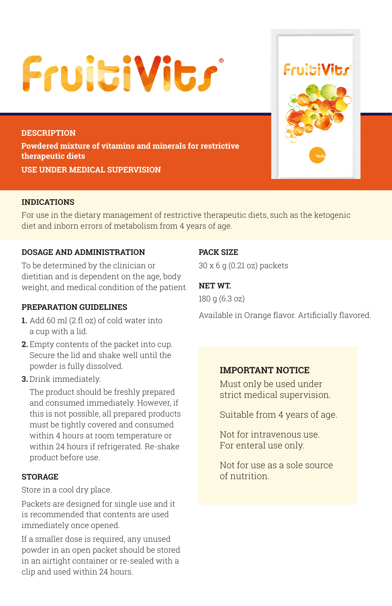# **FruitiVits**

**DESCRIPTION Powdered mixture of vitamins and minerals for restrictive therapeutic diets USE UNDER MEDICAL SUPERVISION**

# **INDICATIONS**

For use in the dietary management of restrictive therapeutic diets, such as the ketogenic diet and inborn errors of metabolism from 4 years of age.

# **DOSAGE AND ADMINISTRATION**

To be determined by the clinician or dietitian and is dependent on the age, body weight, and medical condition of the patient.

## **PREPARATION GUIDELINES**

- **1.** Add 60 ml (2 fl oz) of cold water into a cup with a lid.
- **2.** Empty contents of the packet into cup. Secure the lid and shake well until the powder is fully dissolved.
- **3.** Drink immediately.

The product should be freshly prepared and consumed immediately. However, if this is not possible, all prepared products must be tightly covered and consumed within 4 hours at room temperature or within 24 hours if refrigerated. Re-shake product before use.

#### **STORAGE**

Store in a cool dry place.

Packets are designed for single use and it is recommended that contents are used immediately once opened.

If a smaller dose is required, any unused powder in an open packet should be stored in an airtight container or re-sealed with a clip and used within 24 hours.

# **PACK SIZE**

30 x 6 g (0.21 oz) packets

## **NET WT.**

180 g (6.3 oz)

Available in Orange flavor. Artificially flavored.

## **IMPORTANT NOTICE**

Must only be used under strict medical supervision.

Suitable from 4 years of age.

Not for intravenous use. For enteral use only.

Not for use as a sole source of nutrition.